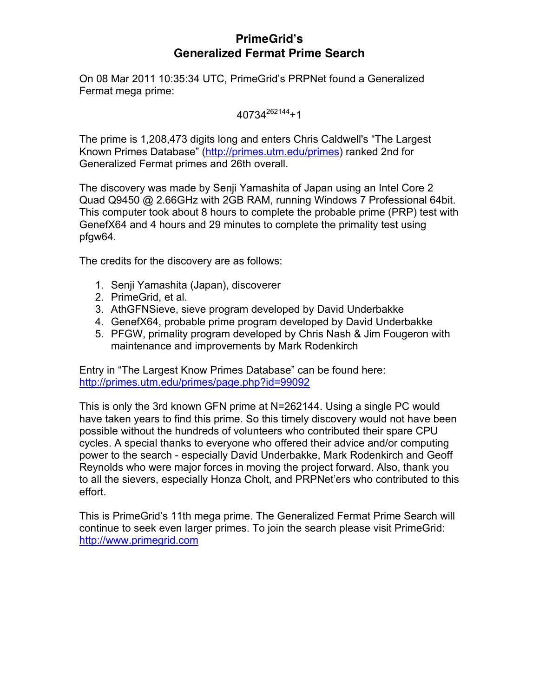# **PrimeGrid's Generalized Fermat Prime Search**

On 08 Mar 2011 10:35:34 UTC, PrimeGrid's PRPNet found a Generalized Fermat mega prime:

 $40734^{262144}+1$ 

The prime is 1,208,473 digits long and enters Chris Caldwell's "The Largest Known Primes Database" (http://primes.utm.edu/primes) ranked 2nd for Generalized Fermat primes and 26th overall.

The discovery was made by Senji Yamashita of Japan using an Intel Core 2 Quad Q9450 @ 2.66GHz with 2GB RAM, running Windows 7 Professional 64bit. This computer took about 8 hours to complete the probable prime (PRP) test with GenefX64 and 4 hours and 29 minutes to complete the primality test using pfgw64.

The credits for the discovery are as follows:

- 1. Senji Yamashita (Japan), discoverer
- 2. PrimeGrid, et al.
- 3. AthGFNSieve, sieve program developed by David Underbakke
- 4. GenefX64, probable prime program developed by David Underbakke
- 5. PFGW, primality program developed by Chris Nash & Jim Fougeron with maintenance and improvements by Mark Rodenkirch

Entry in "The Largest Know Primes Database" can be found here: http://primes.utm.edu/primes/page.php?id=99092

This is only the 3rd known GFN prime at N=262144. Using a single PC would have taken years to find this prime. So this timely discovery would not have been possible without the hundreds of volunteers who contributed their spare CPU cycles. A special thanks to everyone who offered their advice and/or computing power to the search - especially David Underbakke, Mark Rodenkirch and Geoff Reynolds who were major forces in moving the project forward. Also, thank you to all the sievers, especially Honza Cholt, and PRPNet'ers who contributed to this effort.

This is PrimeGrid's 11th mega prime. The Generalized Fermat Prime Search will continue to seek even larger primes. To join the search please visit PrimeGrid: http://www.primegrid.com